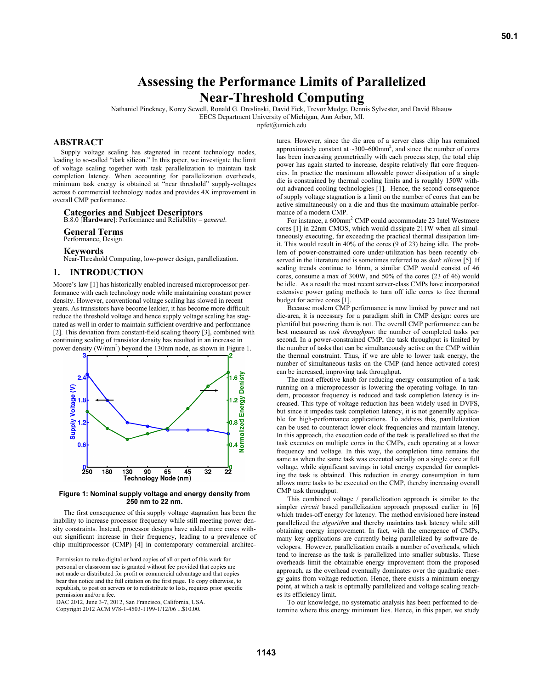# **Assessing the Performance Limits of Parallelized Near-Threshold Computing**

Nathaniel Pinckney, Korey Sewell, Ronald G. Dreslinski, David Fick, Trevor Mudge, Dennis Sylvester, and David Blaauw EECS Department University of Michigan, Ann Arbor, MI. npfet@umich.edu

# **ABSTRACT**

Supply voltage scaling has stagnated in recent technology nodes, leading to so-called "dark silicon." In this paper, we investigate the limit of voltage scaling together with task parallelization to maintain task completion latency. When accounting for parallelization overheads, minimum task energy is obtained at "near threshold" supply-voltages across 6 commercial technology nodes and provides 4X improvement in overall CMP performance.

## **Categories and Subject Descriptors**

B.8.0 [**Hardware**]: Performance and Reliability – g*eneral*.

**General Terms**

Performance, Design.

**Keywords**

Near-Threshold Computing, low-power design, parallelization.

# **1. INTRODUCTION**

Moore's law [1] has historically enabled increased microprocessor performance with each technology node while maintaining constant power density. However, conventional voltage scaling has slowed in recent years. As transistors have become leakier, it has become more difficult reduce the threshold voltage and hence supply voltage scaling has stagnated as well in order to maintain sufficient overdrive and performance [2]. This deviation from constant-field scaling theory [3], combined with continuing scaling of transistor density has resulted in an increase in power density  $(W/mm^2)$  beyond the 130nm node, as shown in Figure 1.



**Figure 1: Nominal supply voltage and energy density from 250 nm to 22 nm.** 

The first consequence of this supply voltage stagnation has been the inability to increase processor frequency while still meeting power density constraints. Instead, processor designs have added more cores without significant increase in their frequency, leading to a prevalence of chip multiprocessor (CMP) [4] in contemporary commercial architec-

Permission to make digital or hard copies of all or part of this work for personal or classroom use is granted without fee provided that copies are not made or distributed for profit or commercial advantage and that copies bear this notice and the full citation on the first page. To copy otherwise, to republish, to post on servers or to redistribute to lists, requires prior specific permission and/or a fee.

DAC 2012, June 3-7, 2012, San Francisco, California, USA.

Copyright 2012 ACM 978-1-4503-1199-1/12/06 ...\$10.00.

tures. However, since the die area of a server class chip has remained approximately constant at  $\sim$ 300–600mm<sup>2</sup>, and since the number of cores has been increasing geometrically with each process step, the total chip power has again started to increase, despite relatively flat core frequencies. In practice the maximum allowable power dissipation of a single die is constrained by thermal cooling limits and is roughly 150W without advanced cooling technologies [1]. Hence, the second consequence of supply voltage stagnation is a limit on the number of cores that can be active simultaneously on a die and thus the maximum attainable performance of a modern CMP.

For instance, a 600mm<sup>2</sup> CMP could accommodate 23 Intel Westmere cores [1] in 22nm CMOS, which would dissipate 211W when all simultaneously executing, far exceeding the practical thermal dissipation limit. This would result in 40% of the cores (9 of 23) being idle. The problem of power-constrained core under-utilization has been recently observed in the literature and is sometimes referred to as *dark silicon* [5]. If scaling trends continue to 16nm, a similar CMP would consist of 46 cores, consume a max of 300W, and 50% of the cores (23 of 46) would be idle. As a result the most recent server-class CMPs have incorporated extensive power gating methods to turn off idle cores to free thermal budget for active cores [1].

Because modern CMP performance is now limited by power and not die-area, it is necessary for a paradigm shift in CMP design: cores are plentiful but powering them is not. The overall CMP performance can be best measured as *task throughput*: the number of completed tasks per second. In a power-constrained CMP, the task throughput is limited by the number of tasks that can be simultaneously active on the CMP within the thermal constraint. Thus, if we are able to lower task energy, the number of simultaneous tasks on the CMP (and hence activated cores) can be increased, improving task throughput.

The most effective knob for reducing energy consumption of a task running on a microprocessor is lowering the operating voltage. In tandem, processor frequency is reduced and task completion latency is increased. This type of voltage reduction has been widely used in DVFS, but since it impedes task completion latency, it is not generally applicable for high-performance applications. To address this, parallelization can be used to counteract lower clock frequencies and maintain latency. In this approach, the execution code of the task is parallelized so that the task executes on multiple cores in the CMPs, each operating at a lower frequency and voltage. In this way, the completion time remains the same as when the same task was executed serially on a single core at full voltage, while significant savings in total energy expended for completing the task is obtained. This reduction in energy consumption in turn allows more tasks to be executed on the CMP, thereby increasing overall CMP task throughput.

This combined voltage / parallelization approach is similar to the simpler *circuit* based parallelization approach proposed earlier in [6] which trades-off energy for latency. The method envisioned here instead parallelized the *algorithm* and thereby maintains task latency while still obtaining energy improvement. In fact, with the emergence of CMPs, many key applications are currently being parallelized by software developers. However, parallelization entails a number of overheads, which tend to increase as the task is parallelized into smaller subtasks. These overheads limit the obtainable energy improvement from the proposed approach, as the overhead eventually dominates over the quadratic energy gains from voltage reduction. Hence, there exists a minimum energy point, at which a task is optimally parallelized and voltage scaling reaches its efficiency limit.

To our knowledge, no systematic analysis has been performed to determine where this energy minimum lies. Hence, in this paper, we study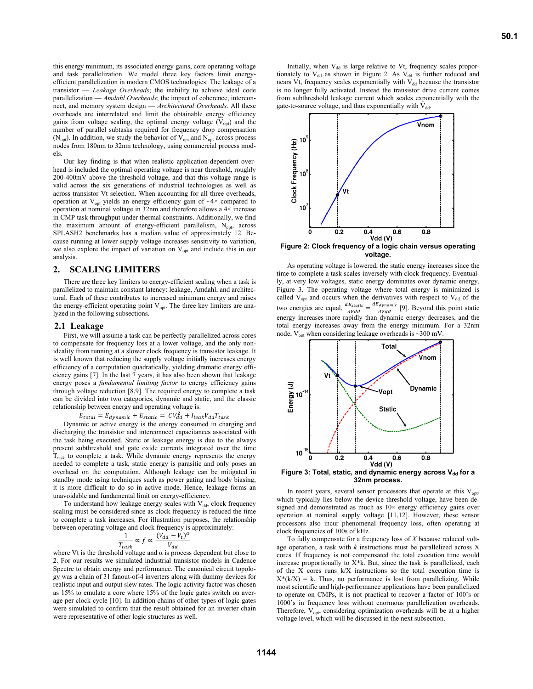this energy minimum, its associated energy gains, core operating voltage and task parallelization. We model three key factors limit energyefficient parallelization in modern CMOS technologies: The leakage of a transistor — *Leakage Overheads*; the inability to achieve ideal code parallelization — *Amdahl Overheads*; the impact of coherence, interconnect, and memory system design — *Architectural Overheads*. All these overheads are interrelated and limit the obtainable energy efficiency gains from voltage scaling, the optimal energy voltage  $(V_{\text{out}})$  and the number of parallel subtasks required for frequency drop compensation ( $N_{opt}$ ). In addition, we study the behavior of  $V_{opt}$  and  $N_{opt}$  across process nodes from 180nm to 32nm technology, using commercial process models.

Our key finding is that when realistic application-dependent overhead is included the optimal operating voltage is near threshold, roughly 200-400mV above the threshold voltage, and that this voltage range is valid across the six generations of industrial technologies as well as across transistor Vt selection. When accounting for all three overheads, operation at  $V_{opt}$  yields an energy efficiency gain of  $\sim$ 4× compared to operation at nominal voltage in 32nm and therefore allows a 4× increase in CMP task throughput under thermal constraints. Additionally, we find the maximum amount of energy-efficient parallelism, N<sub>opt</sub>, across SPLASH2 benchmarks has a median value of approximately 12. Because running at lower supply voltage increases sensitivity to variation, we also explore the impact of variation on  $V_{opt}$  and include this in our analysis.

## **2. SCALING LIMITERS**

There are three key limiters to energy-efficient scaling when a task is parallelized to maintain constant latency: leakage, Amdahl, and architectural. Each of these contributes to increased minimum energy and raises the energy-efficient operating point  $V_{opt}$ . The three key limiters are analyzed in the following subsections.

#### **2.1 Leakage**

First, we will assume a task can be perfectly parallelized across cores to compensate for frequency loss at a lower voltage, and the only nonideality from running at a slower clock frequency is transistor leakage. It is well known that reducing the supply voltage initially increases energy efficiency of a computation quadratically, yielding dramatic energy efficiency gains [7]. In the last 7 years, it has also been shown that leakage energy poses a *fundamental limiting factor* to energy efficiency gains through voltage reduction [8,9]. The required energy to complete a task can be divided into two categories, dynamic and static, and the classic relationship between energy and operating voltage is:

 $E_{total} = E_{dynamic} + E_{static} = CV_{dd}^2 + I_{leak}V_{dd}T_{task}$ 

Dynamic or active energy is the energy consumed in charging and discharging the transistor and interconnect capacitances associated with the task being executed. Static or leakage energy is due to the always present subthreshold and gate oxide currents integrated over the time  $T<sub>task</sub>$  to complete a task. While dynamic energy represents the energy needed to complete a task, static energy is parasitic and only poses an overhead on the computation. Although leakage can be mitigated in standby mode using techniques such as power gating and body biasing, it is more difficult to do so in active mode. Hence, leakage forms an unavoidable and fundamental limit on energy-efficiency.

To understand how leakage energy scales with  $V_{dd}$ , clock frequency scaling must be considered since as clock frequency is reduced the time to complete a task increases. For illustration purposes, the relationship between operating voltage and clock frequency is approximately:

$$
\frac{1}{T_{task}} \propto f \propto \frac{(V_{dd} - V_t)^{\alpha}}{V_{dd}}
$$

where Vt is the threshold voltage and  $\alpha$  is process dependent but close to 2. For our results we simulated industrial transistor models in Cadence Spectre to obtain energy and performance. The canonical circuit topology was a chain of 31 fanout-of-4 inverters along with dummy devices for realistic input and output slew rates. The logic activity factor was chosen as 15% to emulate a core where 15% of the logic gates switch on average per clock cycle [10]. In addition chains of other types of logic gates were simulated to confirm that the result obtained for an inverter chain were representative of other logic structures as well.

Initially, when  $V_{dd}$  is large relative to Vt, frequency scales proportionately to  $V_{dd}$  as shown in Figure 2. As  $V_{dd}$  is further reduced and nears Vt, frequency scales exponentially with  $V_{dd}$  because the transistor is no longer fully activated. Instead the transistor drive current comes from subthreshold leakage current which scales exponentially with the gate-to-source voltage, and thus exponentially with  $V_{dd}$ .



**Figure 2: Clock frequency of a logic chain versus operating voltage.** 

As operating voltage is lowered, the static energy increases since the time to complete a task scales inversely with clock frequency. Eventually, at very low voltages, static energy dominates over dynamic energy, Figure 3. The operating voltage where total energy is minimized is called  $V_{opt}$  and occurs when the derivatives with respect to  $V_{dd}$  of the two energies are equal,  $\frac{dE_{static}}{dVdd} = \frac{dE_{dynamic}}{dVdd}$  [9]. Beyond this point static energy increases more rapidly than dynamic energy decreases, and the total energy increases away from the energy minimum. For a 32nm node,  $V_{opt}$  when considering leakage overheads is ~300 mV



**32nm process.** 

In recent years, several sensor processors that operate at this  $V_{opt}$ , which typically lies below the device threshold voltage, have been designed and demonstrated as much as  $10\times$  energy efficiency gains over operation at nominal supply voltage [11,12]. However, these sensor processors also incur phenomenal frequency loss, often operating at clock frequencies of 100s of kHz.

To fully compensate for a frequency loss of *X* because reduced voltage operation, a task with *k* instructions must be parallelized across X cores. If frequency is not compensated the total execution time would increase proportionally to X\*k. But, since the task is parallelized, each of the X cores runs k/X instructions so the total execution time is  $X^*(k/X) = k$ . Thus, no performance is lost from parallelizing. While most scientific and high-performance applications have been parallelized to operate on CMPs, it is not practical to recover a factor of 100's or 1000's in frequency loss without enormous parallelization overheads. Therefore,  $V_{\text{opt}}$ , considering optimization overheads will be at a higher voltage level, which will be discussed in the next subsection.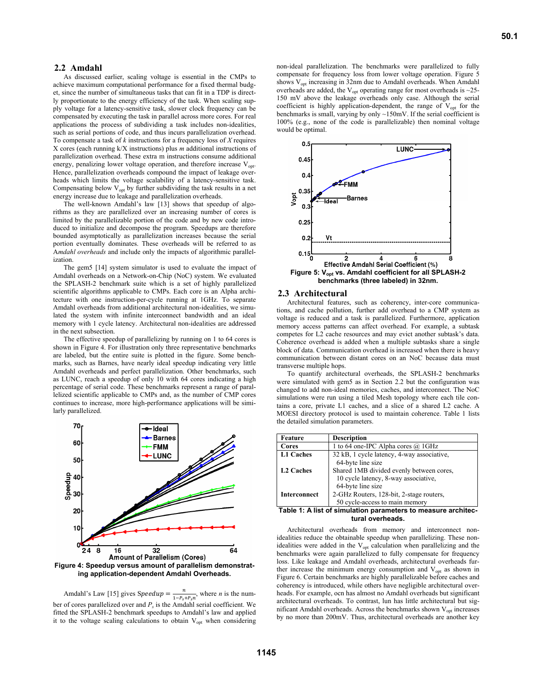### **2.2 Amdahl**

As discussed earlier, scaling voltage is essential in the CMPs to achieve maximum computational performance for a fixed thermal budget, since the number of simultaneous tasks that can fit in a TDP is directly proportionate to the energy efficiency of the task. When scaling supply voltage for a latency-sensitive task, slower clock frequency can be compensated by executing the task in parallel across more cores. For real applications the process of subdividing a task includes non-idealities, such as serial portions of code, and thus incurs parallelization overhead. To compensate a task of *k* instructions for a frequency loss of *X* requires X cores (each running k/X instructions) plus *m* additional instructions of parallelization overhead. These extra m instructions consume additional energy, penalizing lower voltage operation, and therefore increase  $V_{\text{opt}}$ . Hence, parallelization overheads compound the impact of leakage overheads which limits the voltage scalability of a latency-sensitive task. Compensating below  $V_{opt}$  by further subdividing the task results in a net energy increase due to leakage and parallelization overheads.

The well-known Amdahl's law [13] shows that speedup of algorithms as they are parallelized over an increasing number of cores is limited by the parallelizable portion of the code and by new code introduced to initialize and decompose the program. Speedups are therefore bounded asymptotically as parallelization increases because the serial portion eventually dominates. These overheads will be referred to as A*mdahl overheads* and include only the impacts of algorithmic parallelization.

The gem5 [14] system simulator is used to evaluate the impact of Amdahl overheads on a Network-on-Chip (NoC) system. We evaluated the SPLASH-2 benchmark suite which is a set of highly parallelized scientific algorithms applicable to CMPs. Each core is an Alpha architecture with one instruction-per-cycle running at 1GHz. To separate Amdahl overheads from additional architectural non-idealities, we simulated the system with infinite interconnect bandwidth and an ideal memory with 1 cycle latency. Architectural non-idealities are addressed in the next subsection.

The effective speedup of parallelizing by running on 1 to 64 cores is shown in Figure 4. For illustration only three representative benchmarks are labeled, but the entire suite is plotted in the figure. Some benchmarks, such as Barnes, have nearly ideal speedup indicating very little Amdahl overheads and perfect parallelization. Other benchmarks, such as LUNC, reach a speedup of only 10 with 64 cores indicating a high percentage of serial code. These benchmarks represent a range of parallelized scientific applicable to CMPs and, as the number of CMP cores continues to increase, more high-performance applications will be similarly parallelized.



**ing application-dependent Amdahl Overheads.** 

Amdahl's Law [15] gives Speedup  $=$   $\frac{n}{1 - P_s + P_s n}$ , where *n* is the number of cores parallelized over and  $P_s$  is the Amdahl serial coefficient. We fitted the SPLASH-2 benchmark speedups to Amdahl's law and applied it to the voltage scaling calculations to obtain  $V_{opt}$  when considering non-ideal parallelization. The benchmarks were parallelized to fully compensate for frequency loss from lower voltage operation. Figure 5 shows  $V_{opt}$  increasing in 32nm due to Amdahl overheads. When Amdahl overheads are added, the  $V_{opt}$  operating range for most overheads is ~25-150 mV above the leakage overheads only case. Although the serial coefficient is highly application-dependent, the range of  $V_{opt}$  for the benchmarks is small, varying by only ~150mV. If the serial coefficient is 100% (e.g., none of the code is parallelizable) then nominal voltage would be optimal.



#### **2.3 Architectural**

Architectural features, such as coherency, inter-core communications, and cache pollution, further add overhead to a CMP system as voltage is reduced and a task is parallelized. Furthermore, application memory access patterns can affect overhead. For example, a subtask competes for L2 cache resources and may evict another subtask's data. Coherence overhead is added when a multiple subtasks share a single block of data. Communication overhead is increased when there is heavy communication between distant cores on an NoC because data must transverse multiple hops.

To quantify architectural overheads, the SPLASH-2 benchmarks were simulated with gem5 as in Section 2.2 but the configuration was changed to add non-ideal memories, caches, and interconnect. The NoC simulations were run using a tiled Mesh topology where each tile contains a core, private L1 caches, and a slice of a shared L2 cache. A MOESI directory protocol is used to maintain coherence. Table 1 lists the detailed simulation parameters.

| Feature             | <b>Description</b>                         |  |  |  |  |
|---------------------|--------------------------------------------|--|--|--|--|
| Cores               | 1 to 64 one-IPC Alpha cores @ 1GHz         |  |  |  |  |
| <b>L1 Caches</b>    | 32 kB, 1 cycle latency, 4-way associative, |  |  |  |  |
|                     | 64-byte line size                          |  |  |  |  |
| <b>L2 Caches</b>    | Shared 1MB divided evenly between cores,   |  |  |  |  |
|                     | 10 cycle latency, 8-way associative,       |  |  |  |  |
|                     | 64-byte line size                          |  |  |  |  |
| <b>Interconnect</b> | 2-GHz Routers, 128-bit, 2-stage routers,   |  |  |  |  |
|                     | 50 cycle-access to main memory             |  |  |  |  |

**Table 1: A list of simulation parameters to measure architectural overheads.** 

Architectural overheads from memory and interconnect nonidealities reduce the obtainable speedup when parallelizing. These nonidealities were added in the  $V_{opt}$  calculation when parallelizing and the benchmarks were again parallelized to fully compensate for frequency loss. Like leakage and Amdahl overheads, architectural overheads further increase the minimum energy consumption and  $V_{\text{opt}}$  as shown in Figure 6. Certain benchmarks are highly parallelizable before caches and coherency is introduced, while others have negligible architectural overheads. For example, ocn has almost no Amdahl overheads but significant architectural overheads. To contrast, lun has little architectural but significant Amdahl overheads. Across the benchmarks shown  $V_{\text{opt}}$  increases by no more than 200mV. Thus, architectural overheads are another key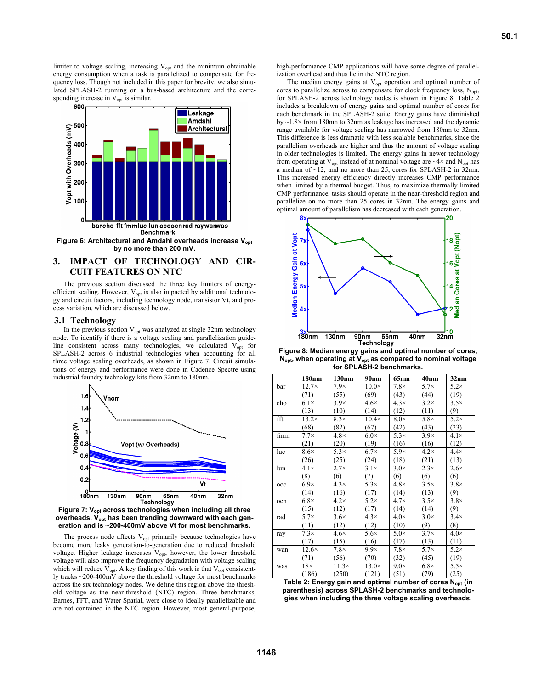limiter to voltage scaling, increasing  $V_{opt}$  and the minimum obtainable energy consumption when a task is parallelized to compensate for frequency loss. Though not included in this paper for brevity, we also simulated SPLASH-2 running on a bus-based architecture and the corresponding increase in  $V_{opt}$  is similar.



Figure 6: Architectural and Amdahl overheads increase V<sub>opt</sub> **by no more than 200 mV.** 

# **3. IMPACT OF TECHNOLOGY AND CIR-CUIT FEATURES ON NTC**

The previous section discussed the three key limiters of energyefficient scaling. However,  $V_{opt}$  is also impacted by additional technology and circuit factors, including technology node, transistor Vt, and process variation, which are discussed below.

## **3.1 Technology**

In the previous section  $V_{opt}$  was analyzed at single 32nm technology node. To identify if there is a voltage scaling and parallelization guideline consistent across many technologies, we calculated  $V_{opt}$  for SPLASH-2 across 6 industrial technologies when accounting for all three voltage scaling overheads, as shown in Figure 7. Circuit simulations of energy and performance were done in Cadence Spectre using industrial foundry technology kits from 32nm to 180nm.



Figure 7: V<sub>opt</sub> across technologies when including all three overheads. V<sub>opt</sub> has been trending downward with each gen**eration and is ~200-400mV above Vt for most benchmarks.** 

The process node affects  $V_{opt}$  primarily because technologies have become more leaky generation-to-generation due to reduced threshold voltage. Higher leakage increases  $V_{opt}$ , however, the lower threshold voltage will also improve the frequency degradation with voltage scaling which will reduce  $V_{opt}$ . A key finding of this work is that  $V_{opt}$  consistently tracks ~200-400mV above the threshold voltage for most benchmarks across the six technology nodes. We define this region above the threshold voltage as the near-threshold (NTC) region. Three benchmarks, Barnes, FFT, and Water Spatial, were close to ideally parallelizable and are not contained in the NTC region. However, most general-purpose,

high-performance CMP applications will have some degree of parallelization overhead and thus lie in the NTC region.

The median energy gains at  $V_{opt}$  operation and optimal number of cores to parallelize across to compensate for clock frequency loss,  $N_{\text{opt}}$ , for SPLASH-2 across technology nodes is shown in Figure 8. Table 2 includes a breakdown of energy gains and optimal number of cores for each benchmark in the SPLASH-2 suite. Energy gains have diminished by  $\sim$ 1.8 $\times$  from 180nm to 32nm as leakage has increased and the dynamic range available for voltage scaling has narrowed from 180nm to 32nm. This difference is less dramatic with less scalable benchmarks, since the parallelism overheads are higher and thus the amount of voltage scaling in older technologies is limited. The energy gains in newer technology from operating at  $V_{opt}$  instead of at nominal voltage are  $\sim$ 4 $\times$  and  $N_{opt}$  has a median of ~12, and no more than 25, cores for SPLASH-2 in 32nm. This increased energy efficiency directly increases CMP performance when limited by a thermal budget. Thus, to maximize thermally-limited CMP performance, tasks should operate in the near-threshold region and parallelize on no more than 25 cores in 32nm. The energy gains and optimal amount of parallelism has decreased with each generation.



**Figure 8: Median energy gains and optimal number of cores,**  N<sub>opt</sub>, when operating at V<sub>opt</sub> as compared to nominal voltage **for SPLASH-2 benchmarks.** 

|     | 180nm        | 130nm        | 90nm         | 65nm        | 40nm        | 32nm        |
|-----|--------------|--------------|--------------|-------------|-------------|-------------|
| bar | $12.7\times$ | $7.9\times$  | $10.0\times$ | $7.8\times$ | $5.7\times$ | $5.2\times$ |
|     | (71)         | (55)         | (69)         | (43)        | (44)        | (19)        |
| cho | $6.1\times$  | $3.9\times$  | $4.6\times$  | $4.3\times$ | $3.2\times$ | $3.5\times$ |
|     | (13)         | (10)         | (14)         | (12)        | (11)        | (9)         |
| fft | $13.2\times$ | $8.3\times$  | $10.4\times$ | $8.0\times$ | $5.8\times$ | $5.2\times$ |
|     | (68)         | (82)         | (67)         | (42)        | (43)        | (23)        |
| fmm | $7.7\times$  | $4.8\times$  | $6.0\times$  | $5.3\times$ | $3.9\times$ | $4.1\times$ |
|     | (21)         | (20)         | (19)         | (16)        | (16)        | (12)        |
| luc | $8.6\times$  | $5.3\times$  | $6.7\times$  | $5.9\times$ | $4.2\times$ | $4.4\times$ |
|     | (26)         | (25)         | (24)         | (18)        | (21)        | (13)        |
| lun | $4.1\times$  | $2.7\times$  | $3.1\times$  | $3.0\times$ | $2.3\times$ | $2.6\times$ |
|     | (8)          | (6)          | (7)          | (6)         | (6)         | (6)         |
| occ | $6.9\times$  | $4.3\times$  | $5.3\times$  | $4.8\times$ | $3.5\times$ | $3.8\times$ |
|     | (14)         | (16)         | (17)         | (14)        | (13)        | (9)         |
| ocn | $6.8\times$  | $4.2\times$  | $5.2\times$  | $4.7\times$ | $3.5\times$ | $3.8\times$ |
|     | (15)         | (12)         | (17)         | (14)        | (14)        | (9)         |
| rad | $5.7\times$  | $3.6\times$  | $4.3\times$  | $4.0\times$ | $3.0\times$ | $3.4\times$ |
|     | (11)         | (12)         | (12)         | (10)        | (9)         | (8)         |
| ray | $7.3\times$  | $4.6\times$  | $5.6\times$  | $5.0\times$ | $3.7\times$ | $4.0\times$ |
|     | (17)         | (15)         | (16)         | (17)        | (13)        | (11)        |
| wan | $12.6\times$ | $7.8\times$  | $9.9\times$  | $7.8\times$ | $5.7\times$ | $5.2\times$ |
|     | (71)         | (56)         | (70)         | (32)        | (45)        | (19)        |
| was | $18\times$   | $11.3\times$ | $13.0\times$ | $9.0\times$ | $6.8\times$ | $5.5\times$ |
|     | (186)        | (250)        | (121)        | (51)        | (79)        | (25)        |

Table 2: Energy gain and optimal number of cores N<sub>opt</sub> (in **parenthesis) across SPLASH-2 benchmarks and technologies when including the three voltage scaling overheads.**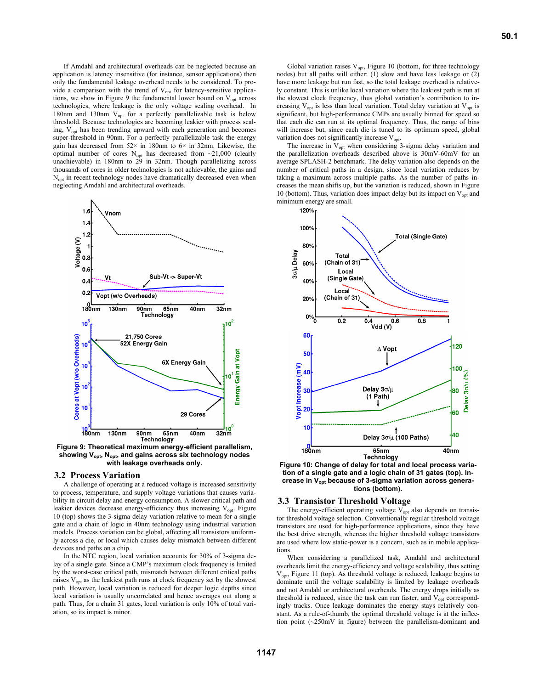If Amdahl and architectural overheads can be neglected because an application is latency insensitive (for instance, sensor applications) then only the fundamental leakage overhead needs to be considered. To provide a comparison with the trend of  $V_{opt}$  for latency-sensitive applications, we show in Figure 9 the fundamental lower bound on  $V_{opt}$  across technologies, where leakage is the only voltage scaling overhead. In 180nm and 130nm  $V_{opt}$  for a perfectly parallelizable task is below threshold. Because technologies are becoming leakier with process scaling, V<sub>opt</sub> has been trending upward with each generation and becomes super-threshold in 90nm. For a perfectly parallelizable task the energy gain has decreased from  $52 \times$  in 180nm to  $6 \times$  in 32nm. Likewise, the optimal number of cores  $N_{opt}$  has decreased from  $\sim$ 21,000 (clearly unachievable) in 180nm to 29 in 32nm. Though parallelizing across thousands of cores in older technologies is not achievable, the gains and  $N<sub>opt</sub>$  in recent technology nodes have dramatically decreased even when neglecting Amdahl and architectural overheads.



**Figure 9: Theoretical maximum energy-efficient parallelism, showing Vopt, Nopt, and gains across six technology nodes with leakage overheads only.** 

### **3.2 Process Variation**

A challenge of operating at a reduced voltage is increased sensitivity to process, temperature, and supply voltage variations that causes variability in circuit delay and energy consumption. A slower critical path and leakier devices decrease energy-efficiency thus increasing  $V_{opt}$ . Figure 10 (top) shows the 3-sigma delay variation relative to mean for a single gate and a chain of logic in 40nm technology using industrial variation models. Process variation can be global, affecting all transistors uniformly across a die, or local which causes delay mismatch between different devices and paths on a chip.

In the NTC region, local variation accounts for 30% of 3-sigma delay of a single gate. Since a CMP's maximum clock frequency is limited by the worst-case critical path, mismatch between different critical paths raises  $V_{opt}$  as the leakiest path runs at clock frequency set by the slowest path. However, local variation is reduced for deeper logic depths since local variation is usually uncorrelated and hence averages out along a path. Thus, for a chain 31 gates, local variation is only 10% of total variation, so its impact is minor.

Global variation raises  $V_{opt}$ , Figure 10 (bottom, for three technology nodes) but all paths will either: (1) slow and have less leakage or  $(2)$ have more leakage but run fast, so the total leakage overhead is relatively constant. This is unlike local variation where the leakiest path is run at the slowest clock frequency, thus global variation's contribution to increasing V<sub>opt</sub> is less than local variation. Total delay variation at V<sub>opt</sub> is significant, but high-performance CMPs are usually binned for speed so that each die can run at its optimal frequency. Thus, the range of bins will increase but, since each die is tuned to its optimum speed, global variation does not significantly increase V<sub>opt</sub>.

The increase in  $V_{opt}$  when considering 3-sigma delay variation and the parallelization overheads described above is 30mV-60mV for an average SPLASH-2 benchmark. The delay variation also depends on the number of critical paths in a design, since local variation reduces by taking a maximum across multiple paths. As the number of paths increases the mean shifts up, but the variation is reduced, shown in Figure 10 (bottom). Thus, variation does impact delay but its impact on  $V_{\text{opt}}$  and minimum energy are small. 120%



**tion of a single gate and a logic chain of 31 gates (top). Increase in Vopt because of 3-sigma variation across generations (bottom).** 

## **3.3 Transistor Threshold Voltage**

The energy-efficient operating voltage  $V_{opt}$  also depends on transistor threshold voltage selection. Conventionally regular threshold voltage transistors are used for high-performance applications, since they have the best drive strength, whereas the higher threshold voltage transistors are used where low static-power is a concern, such as in mobile applications

When considering a parallelized task, Amdahl and architectural overheads limit the energy-efficiency and voltage scalability, thus setting Vopt, Figure 11 (top). As threshold voltage is reduced, leakage begins to dominate until the voltage scalability is limited by leakage overheads and not Amdahl or architectural overheads. The energy drops initially as threshold is reduced, since the task can run faster, and  $V_{opt}$  correspondingly tracks. Once leakage dominates the energy stays relatively constant. As a rule-of-thumb, the optimal threshold voltage is at the inflection point (~250mV in figure) between the parallelism-dominant and